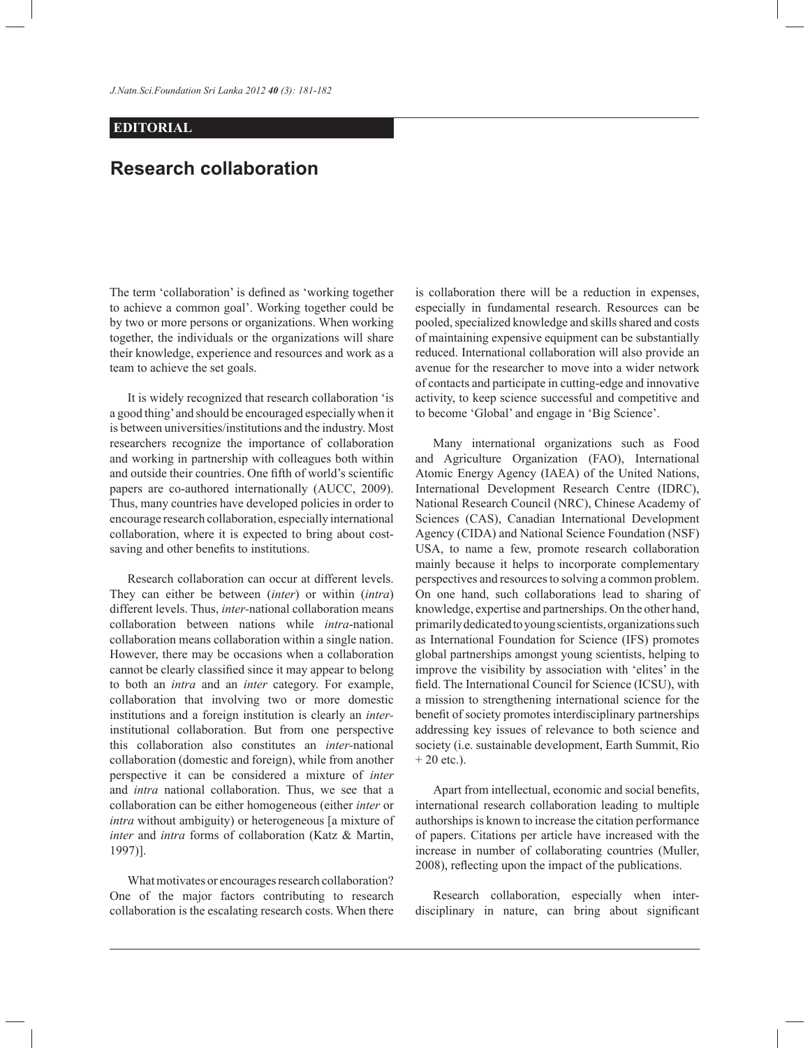*J.Natn.Sci.Foundation Sri Lanka 2012 40 (3): 181*-*182* 

## **EDITORIAL**

## **Research collaboration**

The term 'collaboration' is defined as 'working together to achieve a common goal'. Working together could be by two or more persons or organizations. When working together, the individuals or the organizations will share their knowledge, experience and resources and work as a team to achieve the set goals.

 It is widely recognized that research collaboration 'is a good thing' and should be encouraged especially when it is between universities/institutions and the industry. Most researchers recognize the importance of collaboration and working in partnership with colleagues both within and outside their countries. One fifth of world's scientific papers are co-authored internationally (AUCC, 2009). Thus, many countries have developed policies in order to encourage research collaboration, especially international collaboration, where it is expected to bring about costsaving and other benefits to institutions.

 Research collaboration can occur at different levels. They can either be between (*inter*) or within (*intra*) different levels. Thus, *inter-*national collaboration means collaboration between nations while *intra*-national collaboration means collaboration within a single nation. However, there may be occasions when a collaboration cannot be clearly classified since it may appear to belong to both an *intra* and an *inter* category. For example, collaboration that involving two or more domestic institutions and a foreign institution is clearly an *inter*institutional collaboration. But from one perspective this collaboration also constitutes an *inter-*national collaboration (domestic and foreign), while from another perspective it can be considered a mixture of *inter* and *intra* national collaboration. Thus, we see that a collaboration can be either homogeneous (either *inter* or *intra* without ambiguity) or heterogeneous [a mixture of *inter* and *intra* forms of collaboration (Katz & Martin, 1997)].

 What motivates or encourages research collaboration? One of the major factors contributing to research collaboration is the escalating research costs. When there

is collaboration there will be a reduction in expenses, especially in fundamental research. Resources can be pooled, specialized knowledge and skills shared and costs of maintaining expensive equipment can be substantially reduced. International collaboration will also provide an avenue for the researcher to move into a wider network of contacts and participate in cutting-edge and innovative activity, to keep science successful and competitive and to become 'Global' and engage in 'Big Science'.

 Many international organizations such as Food and Agriculture Organization (FAO), International Atomic Energy Agency (IAEA) of the United Nations, International Development Research Centre (IDRC), National Research Council (NRC), Chinese Academy of Sciences (CAS), Canadian International Development Agency (CIDA) and National Science Foundation (NSF) USA, to name a few, promote research collaboration mainly because it helps to incorporate complementary perspectives and resources to solving a common problem. On one hand, such collaborations lead to sharing of knowledge, expertise and partnerships. On the other hand, primarily dedicated to young scientists, organizations such as International Foundation for Science (IFS) promotes global partnerships amongst young scientists, helping to improve the visibility by association with 'elites' in the field. The International Council for Science (ICSU), with a mission to strengthening international science for the benefit of society promotes interdisciplinary partnerships addressing key issues of relevance to both science and society (i.e. sustainable development, Earth Summit, Rio  $+ 20$  etc.).

 Apart from intellectual, economic and social benefits, international research collaboration leading to multiple authorships is known to increase the citation performance of papers. Citations per article have increased with the increase in number of collaborating countries (Muller, 2008), reflecting upon the impact of the publications.

 Research collaboration, especially when interdisciplinary in nature, can bring about significant